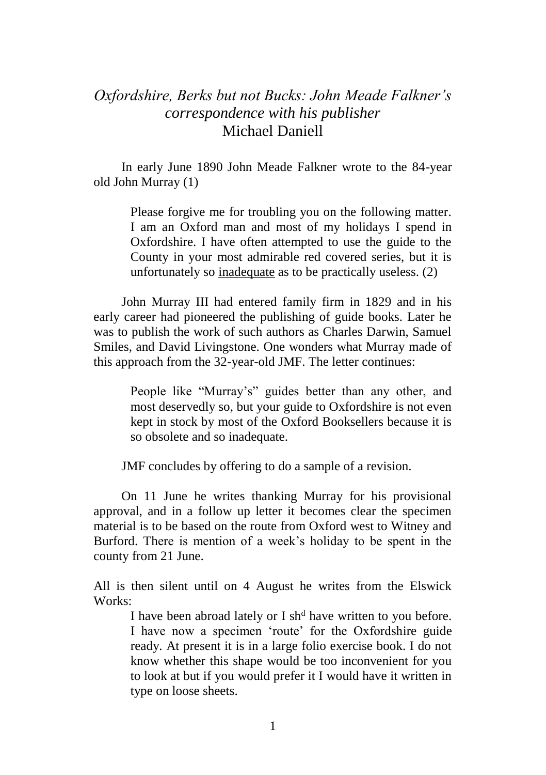## *Oxfordshire, Berks but not Bucks: John Meade Falkner's correspondence with his publisher* Michael Daniell

In early June 1890 John Meade Falkner wrote to the 84-year old John Murray (1)

> Please forgive me for troubling you on the following matter. I am an Oxford man and most of my holidays I spend in Oxfordshire. I have often attempted to use the guide to the County in your most admirable red covered series, but it is unfortunately so inadequate as to be practically useless. (2)

John Murray III had entered family firm in 1829 and in his early career had pioneered the publishing of guide books. Later he was to publish the work of such authors as Charles Darwin, Samuel Smiles, and David Livingstone. One wonders what Murray made of this approach from the 32-year-old JMF. The letter continues:

> People like "Murray's" guides better than any other, and most deservedly so, but your guide to Oxfordshire is not even kept in stock by most of the Oxford Booksellers because it is so obsolete and so inadequate.

JMF concludes by offering to do a sample of a revision.

On 11 June he writes thanking Murray for his provisional approval, and in a follow up letter it becomes clear the specimen material is to be based on the route from Oxford west to Witney and Burford. There is mention of a week's holiday to be spent in the county from 21 June.

All is then silent until on 4 August he writes from the Elswick Works:

I have been abroad lately or I sh<sup>d</sup> have written to you before. I have now a specimen 'route' for the Oxfordshire guide ready. At present it is in a large folio exercise book. I do not know whether this shape would be too inconvenient for you to look at but if you would prefer it I would have it written in type on loose sheets.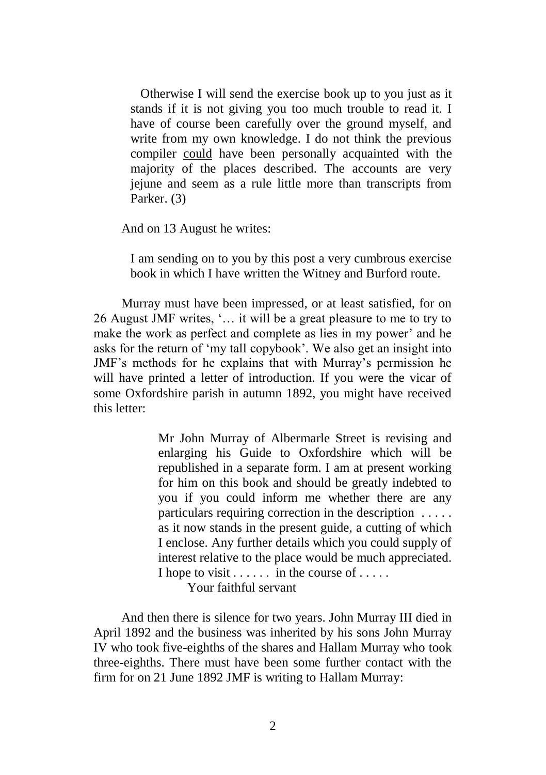Otherwise I will send the exercise book up to you just as it stands if it is not giving you too much trouble to read it. I have of course been carefully over the ground myself, and write from my own knowledge. I do not think the previous compiler could have been personally acquainted with the majority of the places described. The accounts are very jejune and seem as a rule little more than transcripts from Parker. (3)

And on 13 August he writes:

I am sending on to you by this post a very cumbrous exercise book in which I have written the Witney and Burford route.

Murray must have been impressed, or at least satisfied, for on 26 August JMF writes, '… it will be a great pleasure to me to try to make the work as perfect and complete as lies in my power' and he asks for the return of 'my tall copybook'. We also get an insight into JMF's methods for he explains that with Murray's permission he will have printed a letter of introduction. If you were the vicar of some Oxfordshire parish in autumn 1892, you might have received this letter:

> Mr John Murray of Albermarle Street is revising and enlarging his Guide to Oxfordshire which will be republished in a separate form. I am at present working for him on this book and should be greatly indebted to you if you could inform me whether there are any particulars requiring correction in the description . . . . . as it now stands in the present guide, a cutting of which I enclose. Any further details which you could supply of interest relative to the place would be much appreciated. I hope to visit  $\dots$  in the course of  $\dots$ .

Your faithful servant

And then there is silence for two years. John Murray III died in April 1892 and the business was inherited by his sons John Murray IV who took five-eighths of the shares and Hallam Murray who took three-eighths. There must have been some further contact with the firm for on 21 June 1892 JMF is writing to Hallam Murray: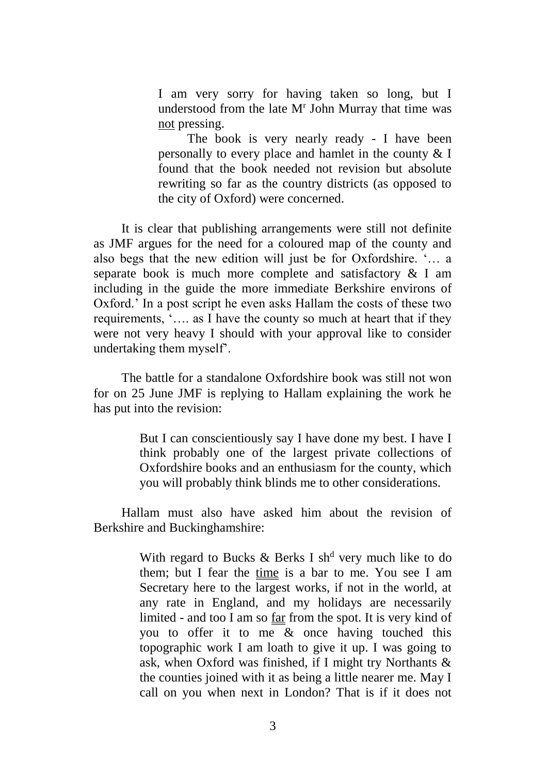I am very sorry for having taken so long, but I understood from the late M<sup>r</sup> John Murray that time was not pressing.

The book is very nearly ready - I have been personally to every place and hamlet in the county & I found that the book needed not revision but absolute rewriting so far as the country districts (as opposed to the city of Oxford) were concerned.

It is clear that publishing arrangements were still not definite as JMF argues for the need for a coloured map of the county and also begs that the new edition will just be for Oxfordshire. '… a separate book is much more complete and satisfactory & I am including in the guide the more immediate Berkshire environs of Oxford.' In a post script he even asks Hallam the costs of these two requirements, '…. as I have the county so much at heart that if they were not very heavy I should with your approval like to consider undertaking them myself'.

The battle for a standalone Oxfordshire book was still not won for on 25 June JMF is replying to Hallam explaining the work he has put into the revision:

> But I can conscientiously say I have done my best. I have I think probably one of the largest private collections of Oxfordshire books and an enthusiasm for the county, which you will probably think blinds me to other considerations.

Hallam must also have asked him about the revision of Berkshire and Buckinghamshire:

> With regard to Bucks  $\&$  Berks I sh<sup>d</sup> very much like to do them; but I fear the time is a bar to me. You see I am Secretary here to the largest works, if not in the world, at any rate in England, and my holidays are necessarily limited - and too I am so far from the spot. It is very kind of you to offer it to me & once having touched this topographic work I am loath to give it up. I was going to ask, when Oxford was finished, if I might try Northants & the counties joined with it as being a little nearer me. May I call on you when next in London? That is if it does not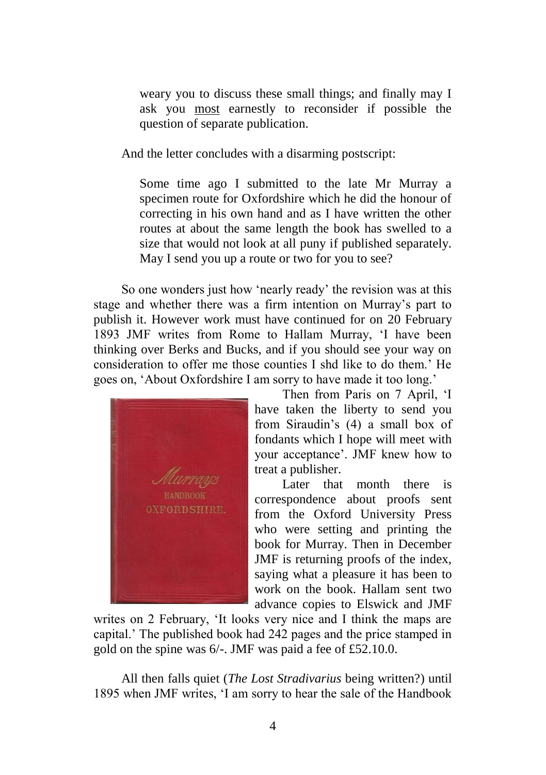weary you to discuss these small things; and finally may I ask you most earnestly to reconsider if possible the question of separate publication.

And the letter concludes with a disarming postscript:

Some time ago I submitted to the late Mr Murray a specimen route for Oxfordshire which he did the honour of correcting in his own hand and as I have written the other routes at about the same length the book has swelled to a size that would not look at all puny if published separately. May I send you up a route or two for you to see?

So one wonders just how 'nearly ready' the revision was at this stage and whether there was a firm intention on Murray's part to publish it. However work must have continued for on 20 February 1893 JMF writes from Rome to Hallam Murray, 'I have been thinking over Berks and Bucks, and if you should see your way on consideration to offer me those counties I shd like to do them.' He goes on, 'About Oxfordshire I am sorry to have made it too long.'



Then from Paris on 7 April, 'I have taken the liberty to send you from Siraudin's (4) a small box of fondants which I hope will meet with your acceptance'. JMF knew how to treat a publisher.

Later that month there is correspondence about proofs sent from the Oxford University Press who were setting and printing the book for Murray. Then in December JMF is returning proofs of the index, saying what a pleasure it has been to work on the book. Hallam sent two advance copies to Elswick and JMF

writes on 2 February, 'It looks very nice and I think the maps are capital.' The published book had 242 pages and the price stamped in gold on the spine was 6/-. JMF was paid a fee of £52.10.0.

All then falls quiet (*The Lost Stradivarius* being written?) until 1895 when JMF writes, 'I am sorry to hear the sale of the Handbook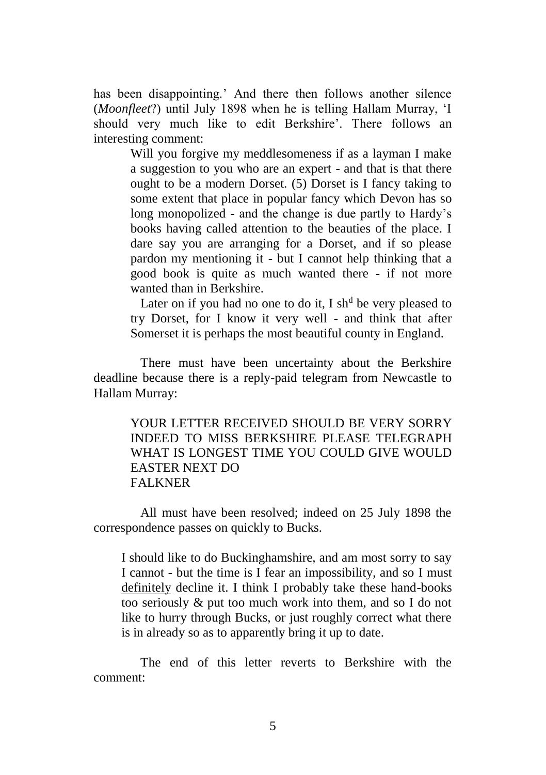has been disappointing.' And there then follows another silence (*Moonfleet*?) until July 1898 when he is telling Hallam Murray, 'I should very much like to edit Berkshire'. There follows an interesting comment:

> Will you forgive my meddlesomeness if as a layman I make a suggestion to you who are an expert - and that is that there ought to be a modern Dorset. (5) Dorset is I fancy taking to some extent that place in popular fancy which Devon has so long monopolized - and the change is due partly to Hardy's books having called attention to the beauties of the place. I dare say you are arranging for a Dorset, and if so please pardon my mentioning it - but I cannot help thinking that a good book is quite as much wanted there - if not more wanted than in Berkshire.

> Later on if you had no one to do it, I sh<sup>d</sup> be very pleased to try Dorset, for I know it very well - and think that after Somerset it is perhaps the most beautiful county in England.

There must have been uncertainty about the Berkshire deadline because there is a reply-paid telegram from Newcastle to Hallam Murray:

YOUR LETTER RECEIVED SHOULD BE VERY SORRY INDEED TO MISS BERKSHIRE PLEASE TELEGRAPH WHAT IS LONGEST TIME YOU COULD GIVE WOULD EASTER NEXT DO FALKNER

All must have been resolved; indeed on 25 July 1898 the correspondence passes on quickly to Bucks.

I should like to do Buckinghamshire, and am most sorry to say I cannot - but the time is I fear an impossibility, and so I must definitely decline it. I think I probably take these hand-books too seriously & put too much work into them, and so I do not like to hurry through Bucks, or just roughly correct what there is in already so as to apparently bring it up to date.

The end of this letter reverts to Berkshire with the comment: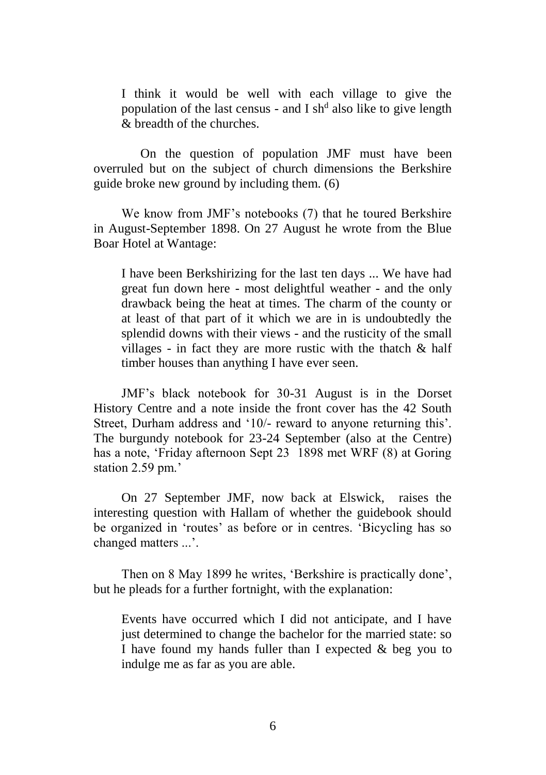I think it would be well with each village to give the population of the last census - and I sh<sup>d</sup> also like to give length & breadth of the churches.

On the question of population JMF must have been overruled but on the subject of church dimensions the Berkshire guide broke new ground by including them. (6)

We know from JMF's notebooks (7) that he toured Berkshire in August-September 1898. On 27 August he wrote from the Blue Boar Hotel at Wantage:

I have been Berkshirizing for the last ten days ... We have had great fun down here - most delightful weather - and the only drawback being the heat at times. The charm of the county or at least of that part of it which we are in is undoubtedly the splendid downs with their views - and the rusticity of the small villages - in fact they are more rustic with the thatch & half timber houses than anything I have ever seen.

JMF's black notebook for 30-31 August is in the Dorset History Centre and a note inside the front cover has the 42 South Street, Durham address and '10/- reward to anyone returning this'. The burgundy notebook for 23-24 September (also at the Centre) has a note, 'Friday afternoon Sept 23 1898 met WRF (8) at Goring station 2.59 pm.'

On 27 September JMF, now back at Elswick, raises the interesting question with Hallam of whether the guidebook should be organized in 'routes' as before or in centres. 'Bicycling has so changed matters ...'.

Then on 8 May 1899 he writes, 'Berkshire is practically done', but he pleads for a further fortnight, with the explanation:

Events have occurred which I did not anticipate, and I have just determined to change the bachelor for the married state: so I have found my hands fuller than I expected & beg you to indulge me as far as you are able.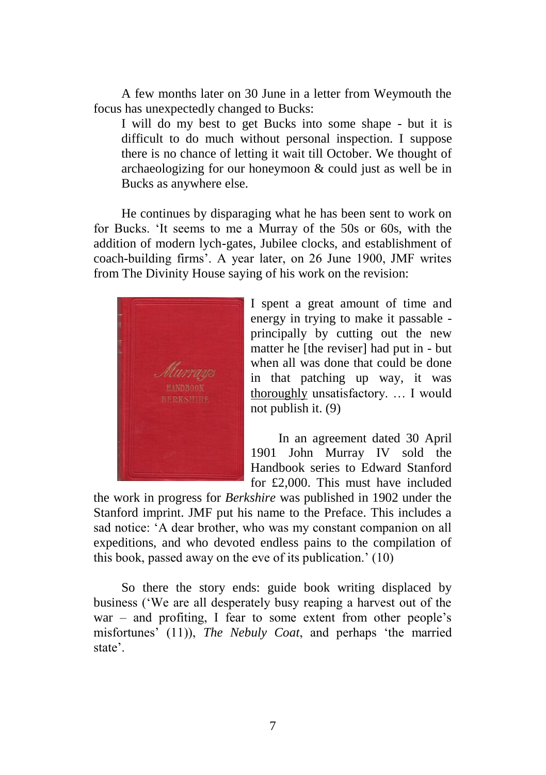A few months later on 30 June in a letter from Weymouth the focus has unexpectedly changed to Bucks:

I will do my best to get Bucks into some shape - but it is difficult to do much without personal inspection. I suppose there is no chance of letting it wait till October. We thought of archaeologizing for our honeymoon & could just as well be in Bucks as anywhere else.

He continues by disparaging what he has been sent to work on for Bucks. 'It seems to me a Murray of the 50s or 60s, with the addition of modern lych-gates, Jubilee clocks, and establishment of coach-building firms'. A year later, on 26 June 1900, JMF writes from The Divinity House saying of his work on the revision:



I spent a great amount of time and energy in trying to make it passable principally by cutting out the new matter he [the reviser] had put in - but when all was done that could be done in that patching up way, it was thoroughly unsatisfactory. … I would not publish it. (9)

In an agreement dated 30 April 1901 John Murray IV sold the Handbook series to Edward Stanford for £2,000. This must have included

the work in progress for *Berkshire* was published in 1902 under the Stanford imprint. JMF put his name to the Preface. This includes a sad notice: 'A dear brother, who was my constant companion on all expeditions, and who devoted endless pains to the compilation of this book, passed away on the eve of its publication.' (10)

So there the story ends: guide book writing displaced by business ('We are all desperately busy reaping a harvest out of the war – and profiting, I fear to some extent from other people's misfortunes' (11)), *The Nebuly Coat*, and perhaps 'the married state'.